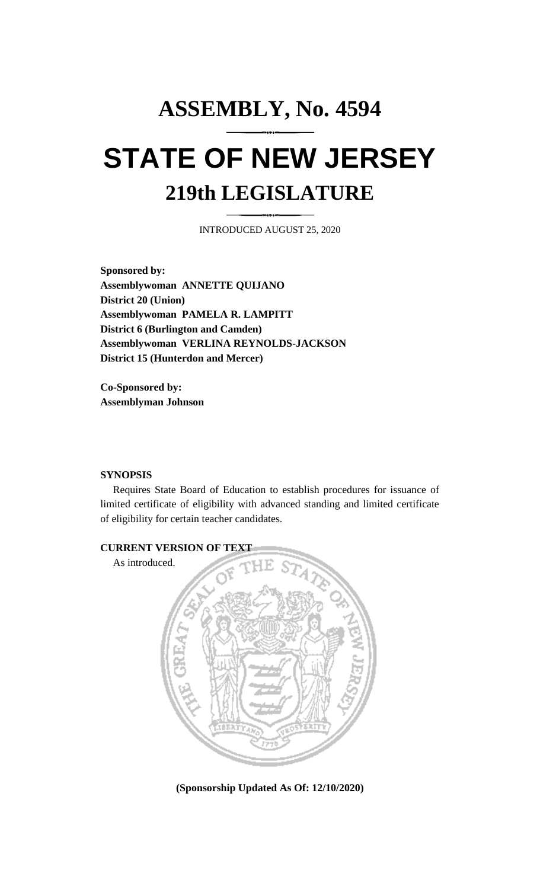## **ASSEMBLY, No. 4594 STATE OF NEW JERSEY 219th LEGISLATURE**

INTRODUCED AUGUST 25, 2020

**Sponsored by: Assemblywoman ANNETTE QUIJANO District 20 (Union) Assemblywoman PAMELA R. LAMPITT District 6 (Burlington and Camden) Assemblywoman VERLINA REYNOLDS-JACKSON District 15 (Hunterdon and Mercer)**

**Co-Sponsored by: Assemblyman Johnson**

## **SYNOPSIS**

Requires State Board of Education to establish procedures for issuance of limited certificate of eligibility with advanced standing and limited certificate of eligibility for certain teacher candidates.



**(Sponsorship Updated As Of: 12/10/2020)**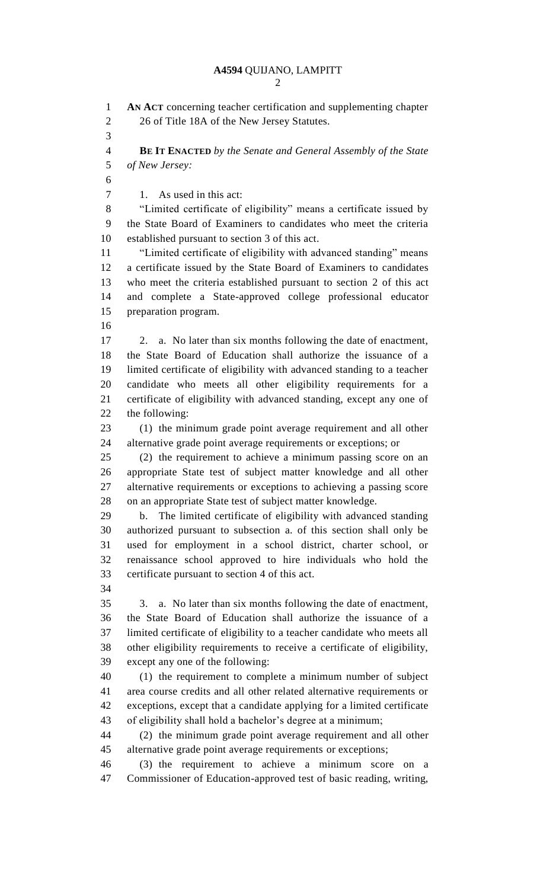| ٦ |
|---|

 **AN ACT** concerning teacher certification and supplementing chapter 26 of Title 18A of the New Jersey Statutes. **BE IT ENACTED** *by the Senate and General Assembly of the State of New Jersey:* 7 1. As used in this act: "Limited certificate of eligibility" means a certificate issued by the State Board of Examiners to candidates who meet the criteria established pursuant to section 3 of this act. "Limited certificate of eligibility with advanced standing" means a certificate issued by the State Board of Examiners to candidates who meet the criteria established pursuant to section 2 of this act and complete a State-approved college professional educator preparation program. 2. a. No later than six months following the date of enactment, the State Board of Education shall authorize the issuance of a limited certificate of eligibility with advanced standing to a teacher candidate who meets all other eligibility requirements for a certificate of eligibility with advanced standing, except any one of the following: (1) the minimum grade point average requirement and all other alternative grade point average requirements or exceptions; or (2) the requirement to achieve a minimum passing score on an appropriate State test of subject matter knowledge and all other alternative requirements or exceptions to achieving a passing score on an appropriate State test of subject matter knowledge. b. The limited certificate of eligibility with advanced standing authorized pursuant to subsection a. of this section shall only be used for employment in a school district, charter school, or renaissance school approved to hire individuals who hold the certificate pursuant to section 4 of this act. 3. a. No later than six months following the date of enactment, the State Board of Education shall authorize the issuance of a limited certificate of eligibility to a teacher candidate who meets all other eligibility requirements to receive a certificate of eligibility, except any one of the following: (1) the requirement to complete a minimum number of subject area course credits and all other related alternative requirements or exceptions, except that a candidate applying for a limited certificate of eligibility shall hold a bachelor's degree at a minimum; (2) the minimum grade point average requirement and all other alternative grade point average requirements or exceptions; (3) the requirement to achieve a minimum score on a Commissioner of Education-approved test of basic reading, writing,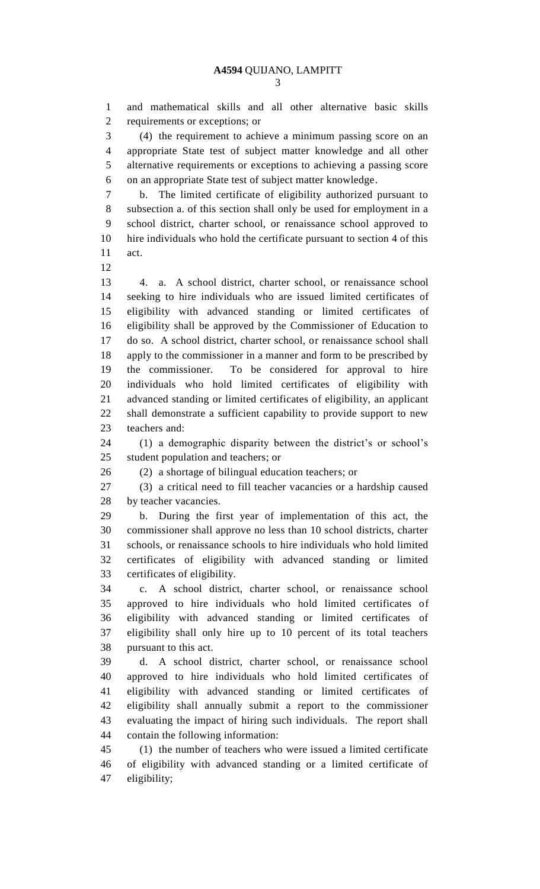and mathematical skills and all other alternative basic skills requirements or exceptions; or

 (4) the requirement to achieve a minimum passing score on an appropriate State test of subject matter knowledge and all other alternative requirements or exceptions to achieving a passing score on an appropriate State test of subject matter knowledge.

 b. The limited certificate of eligibility authorized pursuant to subsection a. of this section shall only be used for employment in a school district, charter school, or renaissance school approved to hire individuals who hold the certificate pursuant to section 4 of this act.

 4. a. A school district, charter school, or renaissance school seeking to hire individuals who are issued limited certificates of eligibility with advanced standing or limited certificates of eligibility shall be approved by the Commissioner of Education to do so. A school district, charter school, or renaissance school shall apply to the commissioner in a manner and form to be prescribed by the commissioner. To be considered for approval to hire individuals who hold limited certificates of eligibility with advanced standing or limited certificates of eligibility, an applicant shall demonstrate a sufficient capability to provide support to new teachers and:

 (1) a demographic disparity between the district's or school's student population and teachers; or

(2) a shortage of bilingual education teachers; or

 (3) a critical need to fill teacher vacancies or a hardship caused by teacher vacancies.

 b. During the first year of implementation of this act, the commissioner shall approve no less than 10 school districts, charter schools, or renaissance schools to hire individuals who hold limited certificates of eligibility with advanced standing or limited certificates of eligibility.

 c. A school district, charter school, or renaissance school approved to hire individuals who hold limited certificates of eligibility with advanced standing or limited certificates of eligibility shall only hire up to 10 percent of its total teachers pursuant to this act.

 d. A school district, charter school, or renaissance school approved to hire individuals who hold limited certificates of eligibility with advanced standing or limited certificates of eligibility shall annually submit a report to the commissioner evaluating the impact of hiring such individuals. The report shall contain the following information:

 (1) the number of teachers who were issued a limited certificate of eligibility with advanced standing or a limited certificate of eligibility;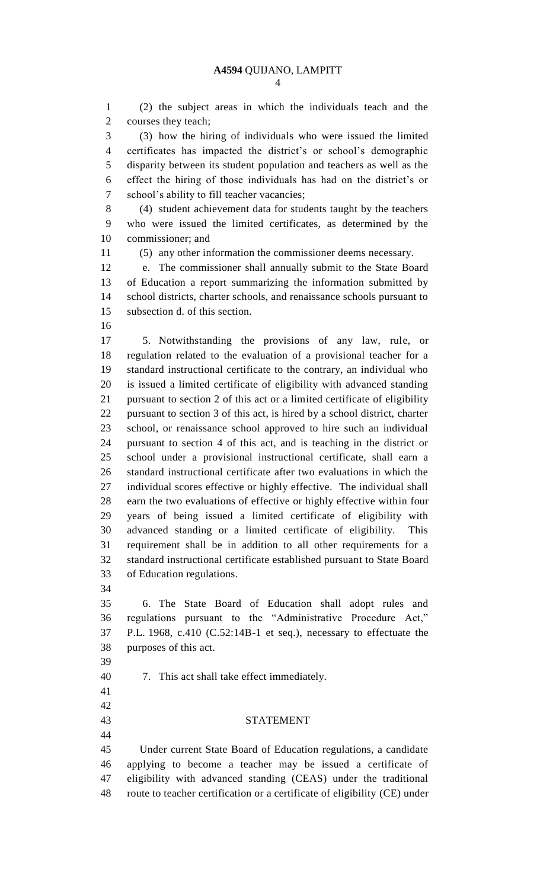(2) the subject areas in which the individuals teach and the courses they teach;

 (3) how the hiring of individuals who were issued the limited certificates has impacted the district's or school's demographic disparity between its student population and teachers as well as the effect the hiring of those individuals has had on the district's or school's ability to fill teacher vacancies;

 (4) student achievement data for students taught by the teachers who were issued the limited certificates, as determined by the commissioner; and

(5) any other information the commissioner deems necessary.

 e. The commissioner shall annually submit to the State Board of Education a report summarizing the information submitted by school districts, charter schools, and renaissance schools pursuant to subsection d. of this section.

 5. Notwithstanding the provisions of any law, rule, or regulation related to the evaluation of a provisional teacher for a standard instructional certificate to the contrary, an individual who is issued a limited certificate of eligibility with advanced standing pursuant to section 2 of this act or a limited certificate of eligibility pursuant to section 3 of this act, is hired by a school district, charter school, or renaissance school approved to hire such an individual pursuant to section 4 of this act, and is teaching in the district or school under a provisional instructional certificate, shall earn a standard instructional certificate after two evaluations in which the individual scores effective or highly effective. The individual shall earn the two evaluations of effective or highly effective within four years of being issued a limited certificate of eligibility with advanced standing or a limited certificate of eligibility. This requirement shall be in addition to all other requirements for a standard instructional certificate established pursuant to State Board of Education regulations.

 6. The State Board of Education shall adopt rules and regulations pursuant to the "Administrative Procedure Act," P.L. 1968, c.410 (C.52:14B-1 et seq.), necessary to effectuate the purposes of this act.

7. This act shall take effect immediately.

## STATEMENT

 

 Under current State Board of Education regulations, a candidate applying to become a teacher may be issued a certificate of eligibility with advanced standing (CEAS) under the traditional route to teacher certification or a certificate of eligibility (CE) under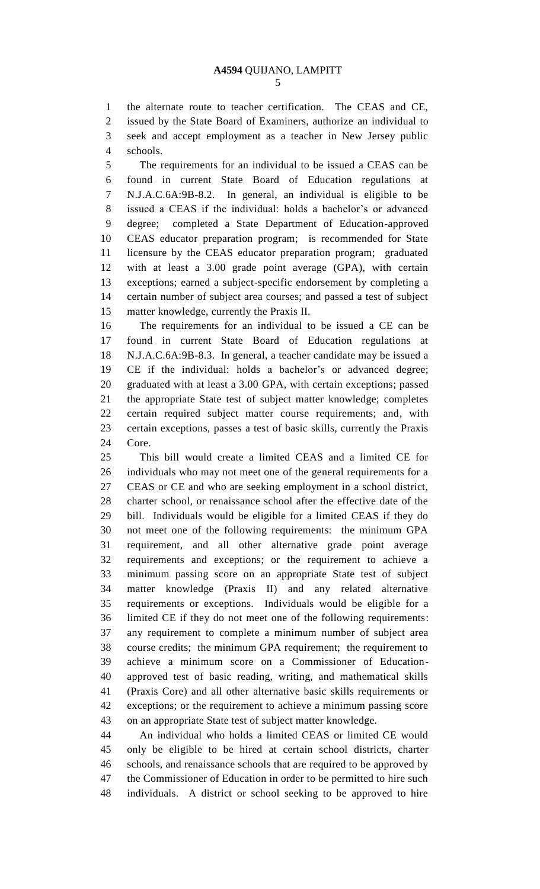the alternate route to teacher certification. The CEAS and CE, issued by the State Board of Examiners, authorize an individual to seek and accept employment as a teacher in New Jersey public schools.

 The requirements for an individual to be issued a CEAS can be found in current State Board of Education regulations at N.J.A.C.6A:9B-8.2. In general, an individual is eligible to be issued a CEAS if the individual: holds a bachelor's or advanced degree; completed a State Department of Education-approved CEAS educator preparation program; is recommended for State licensure by the CEAS educator preparation program; graduated with at least a 3.00 grade point average (GPA), with certain exceptions; earned a subject-specific endorsement by completing a certain number of subject area courses; and passed a test of subject matter knowledge, currently the Praxis II.

 The requirements for an individual to be issued a CE can be found in current State Board of Education regulations at N.J.A.C.6A:9B-8.3. In general, a teacher candidate may be issued a CE if the individual: holds a bachelor's or advanced degree; graduated with at least a 3.00 GPA, with certain exceptions; passed the appropriate State test of subject matter knowledge; completes certain required subject matter course requirements; and, with certain exceptions, passes a test of basic skills, currently the Praxis Core.

 This bill would create a limited CEAS and a limited CE for individuals who may not meet one of the general requirements for a CEAS or CE and who are seeking employment in a school district, charter school, or renaissance school after the effective date of the bill. Individuals would be eligible for a limited CEAS if they do not meet one of the following requirements: the minimum GPA requirement, and all other alternative grade point average requirements and exceptions; or the requirement to achieve a minimum passing score on an appropriate State test of subject matter knowledge (Praxis II) and any related alternative requirements or exceptions. Individuals would be eligible for a limited CE if they do not meet one of the following requirements: any requirement to complete a minimum number of subject area course credits; the minimum GPA requirement; the requirement to achieve a minimum score on a Commissioner of Education- approved test of basic reading, writing, and mathematical skills (Praxis Core) and all other alternative basic skills requirements or exceptions; or the requirement to achieve a minimum passing score on an appropriate State test of subject matter knowledge.

 An individual who holds a limited CEAS or limited CE would only be eligible to be hired at certain school districts, charter schools, and renaissance schools that are required to be approved by the Commissioner of Education in order to be permitted to hire such individuals. A district or school seeking to be approved to hire